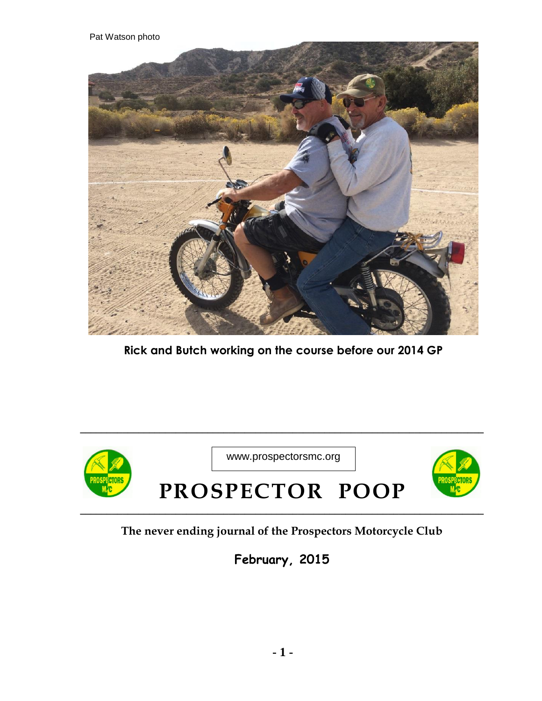Pat Watson photo



**Rick and Butch working on the course before our 2014 GP**



**\_\_\_\_\_\_\_\_\_\_\_\_\_\_\_\_\_\_\_\_\_\_\_\_\_\_\_\_\_\_\_\_\_\_\_\_\_\_\_\_\_\_\_\_\_\_\_\_\_\_\_\_\_\_\_\_\_\_\_\_\_\_\_\_\_\_\_\_\_\_\_\_\_\_\_\_**

## **The never ending journal of the Prospectors Motorcycle Club**

**February, 2015**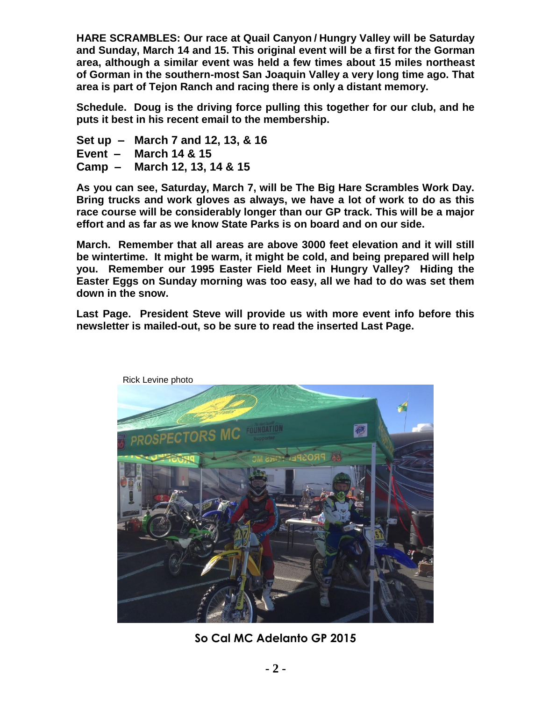**HARE SCRAMBLES: Our race at Quail Canyon / Hungry Valley will be Saturday and Sunday, March 14 and 15. This original event will be a first for the Gorman area, although a similar event was held a few times about 15 miles northeast of Gorman in the southern-most San Joaquin Valley a very long time ago. That area is part of Tejon Ranch and racing there is only a distant memory.** 

**Schedule. Doug is the driving force pulling this together for our club, and he puts it best in his recent email to the membership.** 

- **Set up – March 7 and 12, 13, & 16**
- **Event – March 14 & 15**
- **Camp – March 12, 13, 14 & 15**

**As you can see, Saturday, March 7, will be The Big Hare Scrambles Work Day. Bring trucks and work gloves as always, we have a lot of work to do as this race course will be considerably longer than our GP track. This will be a major effort and as far as we know State Parks is on board and on our side.** 

**March. Remember that all areas are above 3000 feet elevation and it will still be wintertime. It might be warm, it might be cold, and being prepared will help you. Remember our 1995 Easter Field Meet in Hungry Valley? Hiding the Easter Eggs on Sunday morning was too easy, all we had to do was set them down in the snow.** 

**Last Page. President Steve will provide us with more event info before this newsletter is mailed-out, so be sure to read the inserted Last Page.**



**So Cal MC Adelanto GP 2015**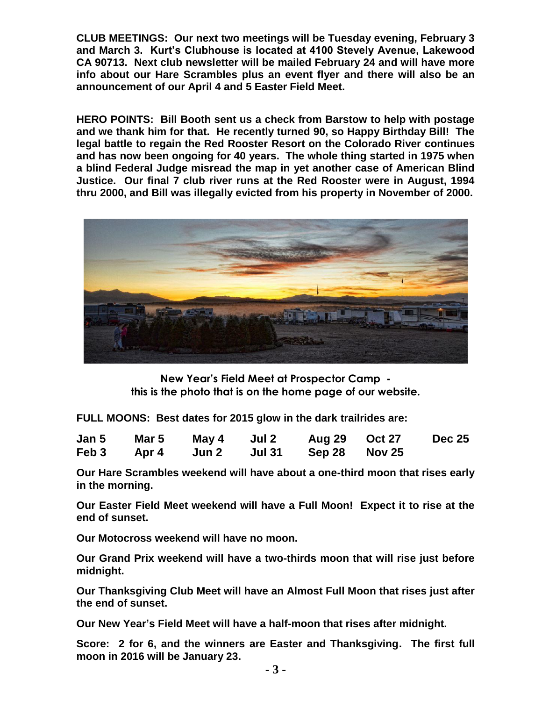**CLUB MEETINGS: Our next two meetings will be Tuesday evening, February 3 and March 3. Kurt's Clubhouse is located at 4100 Stevely Avenue, Lakewood CA 90713. Next club newsletter will be mailed February 24 and will have more info about our Hare Scrambles plus an event flyer and there will also be an announcement of our April 4 and 5 Easter Field Meet.** 

**HERO POINTS: Bill Booth sent us a check from Barstow to help with postage and we thank him for that. He recently turned 90, so Happy Birthday Bill! The legal battle to regain the Red Rooster Resort on the Colorado River continues and has now been ongoing for 40 years. The whole thing started in 1975 when a blind Federal Judge misread the map in yet another case of American Blind Justice. Our final 7 club river runs at the Red Rooster were in August, 1994 thru 2000, and Bill was illegally evicted from his property in November of 2000.** 



**New Year's Field Meet at Prospector Camp this is the photo that is on the home page of our website.**

**FULL MOONS: Best dates for 2015 glow in the dark trailrides are:** 

|  | Jan 5 Mar 5 May 4 Jul 2 | Aug 29 Oct 27                          | <b>Dec 25</b> |
|--|-------------------------|----------------------------------------|---------------|
|  |                         | Feb 3 Apr 4 Jun 2 Jul 31 Sep 28 Nov 25 |               |

**Our Hare Scrambles weekend will have about a one-third moon that rises early in the morning.** 

**Our Easter Field Meet weekend will have a Full Moon! Expect it to rise at the end of sunset.** 

**Our Motocross weekend will have no moon.** 

**Our Grand Prix weekend will have a two-thirds moon that will rise just before midnight.** 

**Our Thanksgiving Club Meet will have an Almost Full Moon that rises just after the end of sunset.** 

**Our New Year's Field Meet will have a half-moon that rises after midnight.** 

**Score: 2 for 6, and the winners are Easter and Thanksgiving. The first full moon in 2016 will be January 23.**